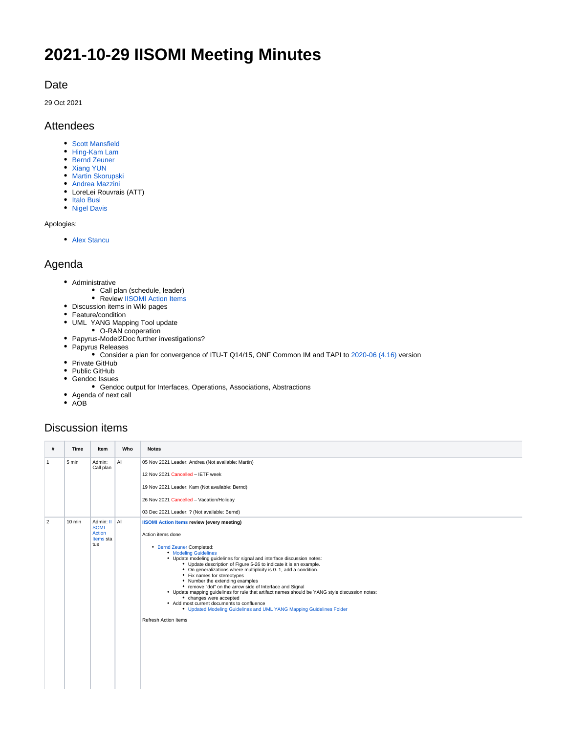# **2021-10-29 IISOMI Meeting Minutes**

#### Date

29 Oct 2021

#### Attendees

- [Scott Mansfield](https://wiki.opennetworking.org/display/~scott.mansfield)
- [Hing-Kam Lam](https://wiki.opennetworking.org/display/~hingkam.lam)
- [Bernd Zeuner](https://wiki.opennetworking.org/display/~b.zeuner)
- [Xiang YUN](https://wiki.opennetworking.org/display/~yunxiang) • [Martin Skorupski](https://wiki.opennetworking.org/display/~demx8as6)
- [Andrea Mazzini](https://wiki.opennetworking.org/display/~mazzini64)
- LoreLei Rouvrais (ATT)
- [Italo Busi](https://wiki.opennetworking.org/display/~ibusi)
- [Nigel Davis](https://wiki.opennetworking.org/display/~ndavis@ciena.com)

Apologies:

• [Alex Stancu](https://wiki.opennetworking.org/display/~alexandrus)

### Agenda

- Administrative
	- Call plan (schedule, leader)
	- Review [IISOMI Action Items](https://urldefense.com/v3/__https:/wiki.opennetworking.org/display/OIMT/IISOMI*Action*Items__;Kys!!OSsGDw!bPcuD8T61uZXjZHWBR2z2rReR13F5Gi30NncSztOJ1pvbP-FXpzy-7LbFNHN$)
- Discussion items in Wiki pages
- Feature/condition
- UML YANG Mapping Tool update • O-RAN cooperation
- Papyrus-Model2Doc further investigations?
- Papyrus Releases
	- Consider a plan for convergence of ITU-T Q14/15, ONF Common IM and TAPI to [2020-06 \(4.16\)](https://www.eclipse.org/downloads/packages/release/2020-06/r/eclipse-modeling-tools) version
- Private GitHub
- Public GitHub
- Gendoc Issues
	- Gendoc output for Interfaces, Operations, Associations, Abstractions
- Agenda of next call
- AOB

## Discussion items

| #              | <b>Time</b> | Item                                                   | Who | <b>Notes</b>                                                                                                                                                                                                                                                                                                                                                                                                                                                                                                                                                                                                                                                                                                                                                            |
|----------------|-------------|--------------------------------------------------------|-----|-------------------------------------------------------------------------------------------------------------------------------------------------------------------------------------------------------------------------------------------------------------------------------------------------------------------------------------------------------------------------------------------------------------------------------------------------------------------------------------------------------------------------------------------------------------------------------------------------------------------------------------------------------------------------------------------------------------------------------------------------------------------------|
| $\mathbf{1}$   | 5 min       | Admin:<br>Call plan                                    | All | 05 Nov 2021 Leader: Andrea (Not available: Martin)<br>12 Nov 2021 Cancelled - IETF week<br>19 Nov 2021 Leader: Kam (Not available: Bernd)<br>26 Nov 2021 Cancelled - Vacation/Holiday<br>03 Dec 2021 Leader: ? (Not available: Bernd)                                                                                                                                                                                                                                                                                                                                                                                                                                                                                                                                   |
| $\overline{2}$ | $10$ min    | Admin: II<br><b>SOMI</b><br>Action<br>Items sta<br>tus | All | <b>IISOMI Action Items review (every meeting)</b><br>Action items done<br>• Bernd Zeuner Completed:<br><b>• Modeling Guidelines</b><br>• Update modeling guidelines for signal and interface discussion notes:<br>• Update description of Figure 5-26 to indicate it is an example.<br>• On generalizations where multiplicity is 01, add a condition.<br>• Fix names for stereotypes<br>• Number the extending examples<br>• remove "dot" on the arrow side of Interface and Signal<br>• Update mapping guidelines for rule that artifact names should be YANG style discussion notes:<br>• changes were accepted<br>• Add most current documents to confluence<br>• Updated Modeling Guidelines and UML YANG Mapping Guidelines Folder<br><b>Refresh Action Items</b> |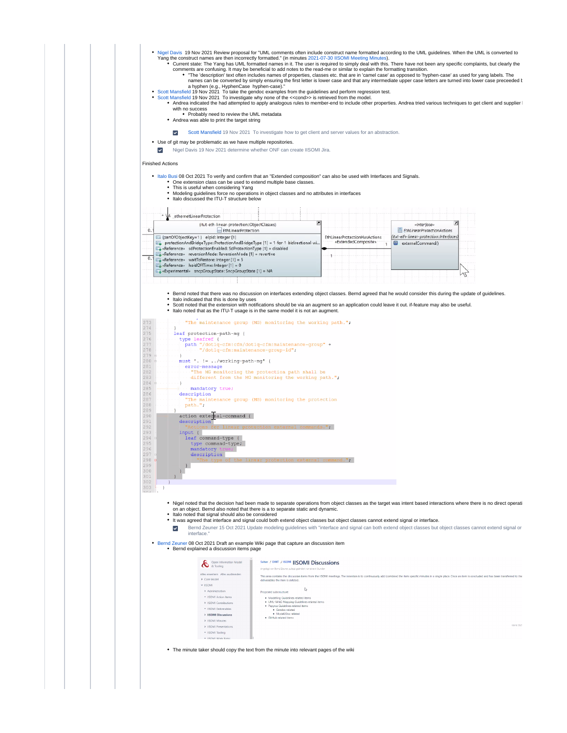- . [Nigel Davis](https://wiki.opennetworking.org/display/~ndavis@ciena.com) 19 Nov 2021 Review proposal for "UML comments often include construct name formatted according to the UML quidelines. When the UML is converted to
	- Yang the construct names are then incorrectly formatted." (in minutes [2021-07-30 IISOMI Meeting Minutes](https://wiki.opennetworking.org/display/OIMT/2021-07-30+IISOMI+Meeting+Minutes)).<br>Current state: The Yang has UML formatted names in it. The user is required to simply deal with this. There have not
		- comments are confusing. It may be beneficial to add notes to the read-me or similar to explain the formatting transition.<br>The 'description' text often includes names of properties, classes etc. that are in 'camel case' as
- 
- a hyphen (e.g., HyphenCase hyphen-case)."<br>[Scott Mansfield](https://wiki.opennetworking.org/display/~scott.mansfield) 19 Nov 2021 To take the gendoc examples from the guidelines and perform regression test.<br>Scott Mansfield 19 Nov 2021 To investigate why none of the <<cond>> is with no success
	- Probably need to review the UML metadata • Andrea was able to print the target string
	-
	- [Scott Mansfield](https://wiki.opennetworking.org/display/~scott.mansfield) 19 Nov 2021 To investigate how to get client and server values for an abstraction.  $\overline{\phantom{a}}$
- Use of git may be problematic as we have multiple repositories.
- v [Nigel Davis](https://wiki.opennetworking.org/display/~ndavis@ciena.com) 19 Nov 2021 determine whether ONF can create IISOMI Jira.

Finished Actions

- [Italo Busi](https://wiki.opennetworking.org/display/~ibusi) 08 Oct 2021 To verify and confirm that an "Extended composition" can also be used with Interfaces and Signals.
	- One extension class can be used to extend multiple base classes. This is useful when considering Yang
	-

| (itut-eth-linear-protection::ObjectClasses)<br>EthLinearProtection                                                                                                                                                                                                   |                               | «Interface»<br>EthLinearProtectionActions |  |
|----------------------------------------------------------------------------------------------------------------------------------------------------------------------------------------------------------------------------------------------------------------------|-------------------------------|-------------------------------------------|--|
| [5] (partOfObjectKey=1 } elpid: Integer [1]                                                                                                                                                                                                                          | EthLinearProtectionHasActions | (itut-eth-linear-protection::Interfaces)  |  |
| protectionAndBridgeType: ProtectionAndBridgeType [1] = 1-for-1-bidirectional-wi<br>Fa «Reference» sdProtectionEnabled: SdProtectionType [1] = disabled<br>E «Reference» reversionMode: ReversionMode [1] = revertive<br>E «Reference» waitToRestore: Integer [1] = 5 | «ExtendedComposite»           | 器<br>externalCommand0                     |  |
| E «Reference» holdOffTime: Integer [1] = 0<br>E «Experimental» sncpGroupState: SncpGroupState [1] = NA                                                                                                                                                               |                               |                                           |  |

273 "The maintenance group (MG) monitoring the working path."; leaf protection-path-mg { 276<br>276<br>278<br>279 type leafref {<br>type leafref {<br>- path "/dotlq-cfm:cfm/dotlq-cfm:maintenance-group" +<br>"/dotlq-cfm:maintenance-group-id"; )<br>must . != ../working-path-mg' {<br>error-message<br>"The MS monitoring the protection path shall be<br>different from the MS monitoring the working path.";  $\frac{28}{280}$ <br>280<br>281 283<br>284<br>285<br>286<br>287<br>288<br>289<br>290 ∴ì mandatory true; description action external-command { 290<br>291<br>292<br>293<br>294 descriptio  $m$ mande " $\cdot$ "Actions for linear py<br>
ipput (<br>
leaf command-type {<br>
type command-type;<br>
mandatory true;<br>
description<br>
"The type of the  $295$ 296<br>297 mal command." 298 299  $\rightarrow$  $\bar{1}$  $\rightarrow$  $\begin{array}{c} \begin{array}{c} \hline \end{array} \\ \hline \end{array}$  $\frac{302}{303}$ . Nigel noted that the decision had been made to separate operations from object classes as the target was intent based interactions where there is no direct operati on an object. Bernd also noted that there is a to separate static and dynamic. Italo noted that signal should also be considered It was agreed that interface and signal could both extend object classes but object classes cannot extend signal or interface.  $\overline{\mathbf{v}}$ [Bernd Zeuner](https://wiki.opennetworking.org/display/~b.zeuner@telekom.de) 15 Oct 2021 Update modeling guidelines with "interface and signal can both extend object classes but object classes cannot extend signal or interface [Bernd Zeuner](https://wiki.opennetworking.org/display/~b.zeuner@telekom.de) 08 Oct 2021 Draft an example Wiki page that capture an discussion item **Bernd explained a discussion items page** Selten / OIMT / IISOMI | ISOMI Discussions **&** <sup>Open</sup> Infor

| s erweitern Alles ausblenden | This area contains the discussion items from the IISOMI meetings. The intention is to continuously add (combine) the item specific minutes in a single place. Once an item is concluded and has been transferred to th |  |  |  |  |  |
|------------------------------|------------------------------------------------------------------------------------------------------------------------------------------------------------------------------------------------------------------------|--|--|--|--|--|
| Core Madel                   | deliverables the item is deleted.                                                                                                                                                                                      |  |  |  |  |  |
| <b>INO2II</b>                |                                                                                                                                                                                                                        |  |  |  |  |  |
| Administration               | Proposed substructure:                                                                                                                                                                                                 |  |  |  |  |  |
| · IISOMI Action Items        | · Modelling Guidelines related items                                                                                                                                                                                   |  |  |  |  |  |
| ISOMI Contributions          | . UML-YANG Mapping Guidelines related items                                                                                                                                                                            |  |  |  |  |  |
| · IISOMI Deliverables        | · Papyrus Guidelines related items<br>· Gendoc related                                                                                                                                                                 |  |  |  |  |  |
| <b>ISOMI Discussions</b>     | · Model2Doc related<br>· GitHub related items                                                                                                                                                                          |  |  |  |  |  |
| > IISOMI Minutes             |                                                                                                                                                                                                                        |  |  |  |  |  |
| ISOMI Presentations          | Keine Sti                                                                                                                                                                                                              |  |  |  |  |  |
| · IISOMI Tooling             |                                                                                                                                                                                                                        |  |  |  |  |  |
|                              |                                                                                                                                                                                                                        |  |  |  |  |  |

The minute taker should copy the text from the minute into relevant pages of the wiki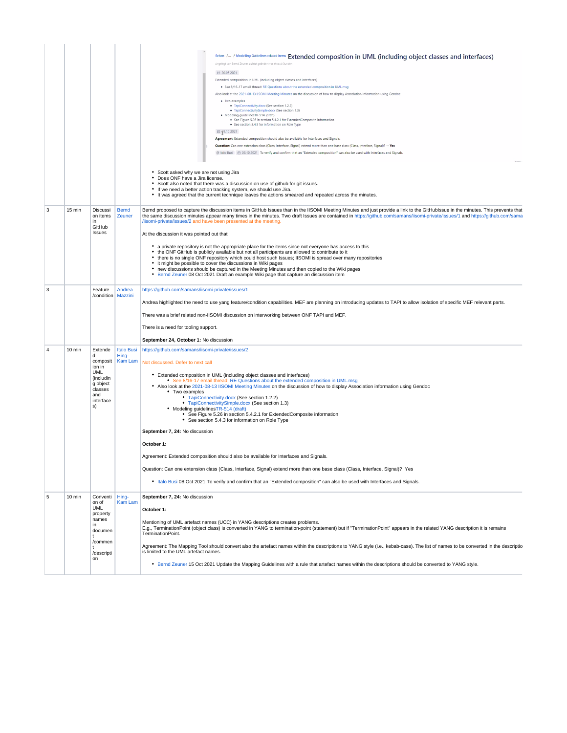|   |        |                                                                                                                |                            | Selten / / Modelling Guldelines related Items Extended composition in UML (including object classes and interfaces)<br>Angelegt von Bernd Zeuner, zuletzt geändert vor etwa 4 Stunden<br>□ 20.08.2021<br>Extended composition in UML (including object classes and interfaces)<br>. See 8/16-17 email thread: RE Questions about the extended composition in UML.msc<br>Also look at the 2021-08-13 IISOMI Meeting Minutes on the discussion of how to display Association information using Gendoc<br>· Two examples<br>· TapiConnectivity.docx (See section 1.2.2)<br>· TapiConnectivitySimple.docx (See section 1.3)<br>· Modeling guidelinesTR-514 (draft)<br>· See Figure 5.26 in section 5.4.2.1 for ExtendedComposite information<br>• See section 5.4.3 for information on Role Type<br>□ 91.10.2021<br>Agreement: Extended composition should also be available for Interfaces and Signals<br>Question: Can one extension class (Class, Interface, Signal) extend more than one base class (Class, Interface, Signal)? -+ Yes<br>• Scott asked why we are not using Jira<br>• Does ONF have a Jira license.<br>• Scott also noted that there was a discussion on use of github for git issues.<br>• If we need a better action tracking system, we should use Jira. |  |  |
|---|--------|----------------------------------------------------------------------------------------------------------------|----------------------------|------------------------------------------------------------------------------------------------------------------------------------------------------------------------------------------------------------------------------------------------------------------------------------------------------------------------------------------------------------------------------------------------------------------------------------------------------------------------------------------------------------------------------------------------------------------------------------------------------------------------------------------------------------------------------------------------------------------------------------------------------------------------------------------------------------------------------------------------------------------------------------------------------------------------------------------------------------------------------------------------------------------------------------------------------------------------------------------------------------------------------------------------------------------------------------------------------------------------------------------------------------------------------|--|--|
|   |        |                                                                                                                |                            | • It was agreed that the current technique leaves the actions smeared and repeated across the minutes.                                                                                                                                                                                                                                                                                                                                                                                                                                                                                                                                                                                                                                                                                                                                                                                                                                                                                                                                                                                                                                                                                                                                                                       |  |  |
| 3 | 15 min | Discussi<br>on items<br>in<br>GitHub<br>Issues                                                                 | <b>Bernd</b><br>Zeuner     | Bernd proposed to capture the discussion items in GitHub Issues than in the IISOMI Meeting Minutes and just provide a link to the GitHubIssue in the minutes. This prevents that<br>the same discussion minutes appear many times in the minutes. Two draft Issues are contained in https://github.com/samans/iisomi-private/issues/1 and https://github.com/samans/iisomi-private/issues/1 and https://github.com<br>/iisomi-private/issues/2 and have been presented at the meeting.<br>At the discussion it was pointed out that<br>• a private repository is not the appropriate place for the items since not everyone has access to this<br>• the ONF GitHub is publicly available but not all participants are allowed to contribute to it<br>• there is no single ONF repository which could host such Issues; IISOMI is spread over many repositories<br>• it might be possible to cover the discussions in Wiki pages<br>• new discussions should be captured in the Meeting Minutes and then copied to the Wiki pages<br>• Bernd Zeuner 08 Oct 2021 Draft an example Wiki page that capture an discussion item                                                                                                                                                    |  |  |
| 3 |        | Feature<br>/condition   Mazzini                                                                                | Andrea                     | https://github.com/samans/iisomi-private/issues/1<br>Andrea highlighted the need to use yang feature/condition capabilities. MEF are planning on introducing updates to TAPI to allow isolation of specific MEF relevant parts.<br>There was a brief related non-IISOMI discussion on interworking between ONF TAPI and MEF.<br>There is a need for tooling support.<br>September 24, October 1: No discussion                                                                                                                                                                                                                                                                                                                                                                                                                                                                                                                                                                                                                                                                                                                                                                                                                                                               |  |  |
|   | 10 min | Extende<br>d<br>composit<br>ion in<br><b>UML</b><br>(includin<br>g object<br>classes<br>and<br>interface<br>s) | <b>Italo Busi</b><br>Hing- | https://github.com/samans/iisomi-private/issues/2<br>Kam Lam   Not discussed. Defer to next call<br>• Extended composition in UML (including object classes and interfaces)<br>• See 8/16-17 email thread: RE Questions about the extended composition in UML.msg<br>. Also look at the 2021-08-13 IISOMI Meeting Minutes on the discussion of how to display Association information using Gendoc<br>• Two examples<br>• TapiConnectivity.docx (See section 1.2.2)<br>• TapiConnectivitySimple.docx (See section 1.3)<br>• Modeling quidelinesTR-514 (draft)<br>• See Figure 5.26 in section 5.4.2.1 for ExtendedComposite information<br>• See section 5.4.3 for information on Role Type<br>September 7, 24: No discussion<br>October 1:<br>Agreement: Extended composition should also be available for Interfaces and Signals.<br>Question: Can one extension class (Class, Interface, Signal) extend more than one base class (Class, Interface, Signal)? Yes<br>• Italo Busi 08 Oct 2021 To verify and confirm that an "Extended composition" can also be used with Interfaces and Signals.                                                                                                                                                                           |  |  |
| 5 | 10 min | Conventi<br>on of<br><b>UML</b><br>property<br>names<br>in<br>documen<br>/commen<br>/descripti<br>on           | Hing-<br><b>Kam Lam</b>    | September 7, 24: No discussion<br>October 1:<br>Mentioning of UML artefact names (UCC) in YANG descriptions creates problems.<br>E.g., TerminationPoint (object class) is converted in YANG to termination-point (statement) but if "TerminationPoint" appears in the related YANG description it is remains<br>TerminationPoint.<br>Agreement: The Mapping Tool should convert also the artefact names within the descriptions to YANG style (i.e., kebab-case). The list of names to be converted in the descriptio<br>is limited to the UML artefact names.<br>• Bernd Zeuner 15 Oct 2021 Update the Mapping Guidelines with a rule that artefact names within the descriptions should be converted to YANG style.                                                                                                                                                                                                                                                                                                                                                                                                                                                                                                                                                        |  |  |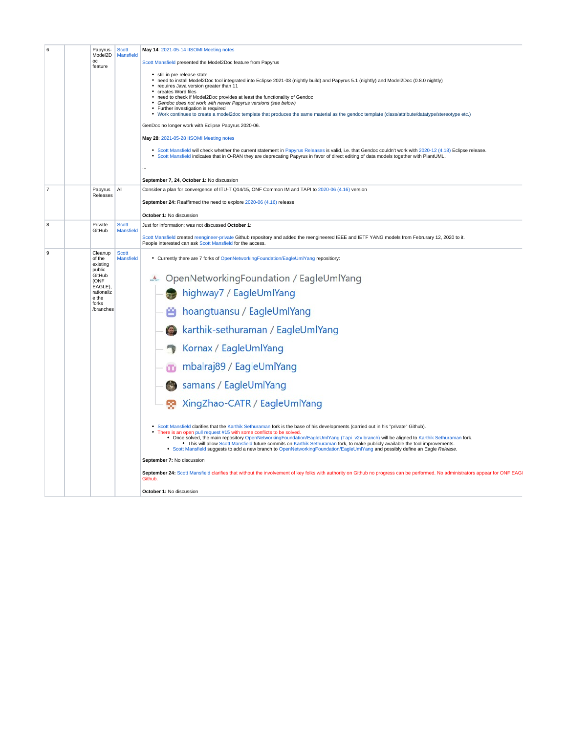| 6              | Papyrus-<br>Model2D<br>oc<br>feature    | <b>Scott</b><br>Mansfield        | May 14: 2021-05-14 IISOMI Meeting notes<br>Scott Mansfield presented the Model2Doc feature from Papyrus<br>· still in pre-release state<br>• need to install Model2Doc tool integrated into Eclipse 2021-03 (nightly build) and Papyrus 5.1 (nightly) and Model2Doc (0.8.0 nightly)<br>• requires Java version greater than 11<br>• creates Word files<br>• need to check if Model2Doc provides at least the functionality of Gendoc<br>• Gendoc does not work with newer Papyrus versions (see below)<br>• Further investigation is required<br>. Work continues to create a model2doc template that produces the same material as the gendoc template (class/attribute/datatype/stereotype etc.)<br>GenDoc no longer work with Eclipse Papyrus 2020-06.<br>May 28: 2021-05-28 IISOMI Meeting notes<br>• Scott Mansfield will check whether the current statement in Papyrus Releases is valid, i.e. that Gendoc couldn't work with 2020-12 (4.18) Eclipse release.<br>• Scott Mansfield indicates that in O-RAN they are deprecating Papyrus in favor of direct editing of data models together with PlantUML.<br>September 7, 24, October 1: No discussion |  |  |
|----------------|-----------------------------------------|----------------------------------|---------------------------------------------------------------------------------------------------------------------------------------------------------------------------------------------------------------------------------------------------------------------------------------------------------------------------------------------------------------------------------------------------------------------------------------------------------------------------------------------------------------------------------------------------------------------------------------------------------------------------------------------------------------------------------------------------------------------------------------------------------------------------------------------------------------------------------------------------------------------------------------------------------------------------------------------------------------------------------------------------------------------------------------------------------------------------------------------------------------------------------------------------------------|--|--|
| $\overline{7}$ | Papyrus                                 | All                              | Consider a plan for convergence of ITU-T Q14/15, ONF Common IM and TAPI to 2020-06 (4.16) version                                                                                                                                                                                                                                                                                                                                                                                                                                                                                                                                                                                                                                                                                                                                                                                                                                                                                                                                                                                                                                                             |  |  |
|                | Releases                                |                                  | September 24: Reaffirmed the need to explore 2020-06 (4.16) release<br>October 1: No discussion                                                                                                                                                                                                                                                                                                                                                                                                                                                                                                                                                                                                                                                                                                                                                                                                                                                                                                                                                                                                                                                               |  |  |
| 8              | Private                                 | <b>Scott</b>                     | Just for information; was not discussed October 1:                                                                                                                                                                                                                                                                                                                                                                                                                                                                                                                                                                                                                                                                                                                                                                                                                                                                                                                                                                                                                                                                                                            |  |  |
|                | GitHub                                  | <b>Mansfield</b>                 | Scott Mansfield created reengineer-private Github repository and added the reengineered IEEE and IETF YANG models from Februrary 12, 2020 to it.<br>People interested can ask Scott Mansfield for the access.                                                                                                                                                                                                                                                                                                                                                                                                                                                                                                                                                                                                                                                                                                                                                                                                                                                                                                                                                 |  |  |
| 9              | Cleanup<br>of the<br>existing<br>public | <b>Scott</b><br><b>Mansfield</b> | • Currently there are 7 forks of OpenNetworkingFoundation/EagleUmlYang repositiory:                                                                                                                                                                                                                                                                                                                                                                                                                                                                                                                                                                                                                                                                                                                                                                                                                                                                                                                                                                                                                                                                           |  |  |
|                | GitHub<br>(ONF                          |                                  | & OpenNetworkingFoundation / EagleUmlYang                                                                                                                                                                                                                                                                                                                                                                                                                                                                                                                                                                                                                                                                                                                                                                                                                                                                                                                                                                                                                                                                                                                     |  |  |
|                | EAGLE),<br>rationaliz<br>e the<br>forks |                                  | highway7 / EagleUmlYang                                                                                                                                                                                                                                                                                                                                                                                                                                                                                                                                                                                                                                                                                                                                                                                                                                                                                                                                                                                                                                                                                                                                       |  |  |
|                | /branches                               |                                  | hoangtuansu / EagleUmlYang                                                                                                                                                                                                                                                                                                                                                                                                                                                                                                                                                                                                                                                                                                                                                                                                                                                                                                                                                                                                                                                                                                                                    |  |  |
|                |                                         |                                  | karthik-sethuraman / EagleUmlYang                                                                                                                                                                                                                                                                                                                                                                                                                                                                                                                                                                                                                                                                                                                                                                                                                                                                                                                                                                                                                                                                                                                             |  |  |
|                |                                         |                                  | Kornax / EagleUmlYang                                                                                                                                                                                                                                                                                                                                                                                                                                                                                                                                                                                                                                                                                                                                                                                                                                                                                                                                                                                                                                                                                                                                         |  |  |
|                |                                         |                                  | mbalraj89 / EagleUmlYang<br>m                                                                                                                                                                                                                                                                                                                                                                                                                                                                                                                                                                                                                                                                                                                                                                                                                                                                                                                                                                                                                                                                                                                                 |  |  |
|                |                                         |                                  | samans / EagleUmlYang                                                                                                                                                                                                                                                                                                                                                                                                                                                                                                                                                                                                                                                                                                                                                                                                                                                                                                                                                                                                                                                                                                                                         |  |  |
|                |                                         |                                  | XingZhao-CATR / EagleUmlYang                                                                                                                                                                                                                                                                                                                                                                                                                                                                                                                                                                                                                                                                                                                                                                                                                                                                                                                                                                                                                                                                                                                                  |  |  |
|                |                                         |                                  | • Scott Mansfield clarifies that the Karthik Sethuraman fork is the base of his developments (carried out in his "private" Github).<br>There is an open pull request #15 with some conflicts to be solved.<br>Once solved, the main repository OpenNetworkingFoundation/EagleUmlYang (Tapi v2x branch) will be aligned to Karthik Sethuraman fork.<br>• This will allow Scott Mansfield future commits on Karthik Sethuraman fork, to make publicly available the tool improvements.<br>• Scott Mansfield suggests to add a new branch to OpenNetworkingFoundation/EagleUmlYang and possibly define an Eagle Release.                                                                                                                                                                                                                                                                                                                                                                                                                                                                                                                                         |  |  |
|                |                                         |                                  | September 7: No discussion                                                                                                                                                                                                                                                                                                                                                                                                                                                                                                                                                                                                                                                                                                                                                                                                                                                                                                                                                                                                                                                                                                                                    |  |  |
|                |                                         |                                  | September 24: Scott Mansfield clarifies that without the involvement of key folks with authority on Github no progress can be performed. No administrators appear for ONF EAG<br>Github.                                                                                                                                                                                                                                                                                                                                                                                                                                                                                                                                                                                                                                                                                                                                                                                                                                                                                                                                                                      |  |  |
|                |                                         |                                  | October 1: No discussion                                                                                                                                                                                                                                                                                                                                                                                                                                                                                                                                                                                                                                                                                                                                                                                                                                                                                                                                                                                                                                                                                                                                      |  |  |